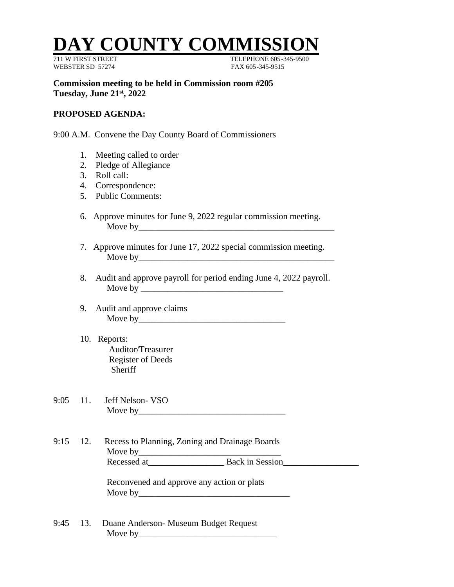## **DAY COUNTY COMMI**

WEBSTER SD 57274 FAX 605-345-9515

TELEPHONE 605-345-9500

**Commission meeting to be held in Commission room #205 Tuesday, June 21st , 2022**

## **PROPOSED AGENDA:**

9:00 A.M. Convene the Day County Board of Commissioners

- 1. Meeting called to order
- 2. Pledge of Allegiance
- 3. Roll call:
- 4. Correspondence:
- 5. Public Comments:
- 6. Approve minutes for June 9, 2022 regular commission meeting. Move by\_\_\_\_\_\_\_\_\_\_\_\_\_\_\_\_\_\_\_\_\_\_\_\_\_\_\_\_\_\_\_\_\_\_\_\_\_\_\_\_\_\_\_\_
- 7. Approve minutes for June 17, 2022 special commission meeting. Move by
- 8. Audit and approve payroll for period ending June 4, 2022 payroll. Move by \_\_\_\_\_\_\_\_\_\_\_\_\_\_\_\_\_\_\_\_\_\_\_\_\_\_\_\_\_\_\_\_
- 9. Audit and approve claims Move by
- 10. Reports: Auditor/Treasurer Register of Deeds Sheriff
- 9:05 11. Jeff Nelson- VSO Move by\_\_\_\_\_\_\_\_\_\_\_\_\_\_\_\_\_\_\_\_\_\_\_\_\_\_\_\_\_\_\_\_\_
- 9:15 12. Recess to Planning, Zoning and Drainage Boards Move by\_\_\_\_\_\_\_\_\_\_\_\_\_\_\_\_\_\_\_\_\_\_\_\_\_\_\_\_\_\_\_\_ Recessed at The Back in Session

Reconvened and approve any action or plats Move by  $\blacksquare$ 

9:45 13. Duane Anderson- Museum Budget Request Move by  $\frac{1}{2}$  Move by  $\frac{1}{2}$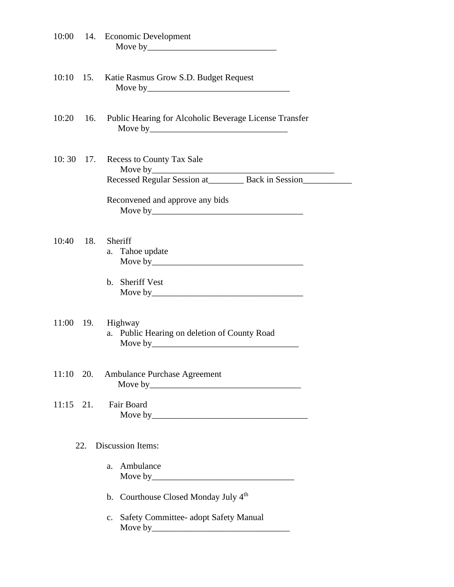| 10:00                           |     | 14. Economic Development                                                                                                                |
|---------------------------------|-----|-----------------------------------------------------------------------------------------------------------------------------------------|
| 10:10                           | 15. | Katie Rasmus Grow S.D. Budget Request                                                                                                   |
| 10:20                           | 16. | Public Hearing for Alcoholic Beverage License Transfer                                                                                  |
| 10:30                           | 17. | <b>Recess to County Tax Sale</b><br>Recessed Regular Session at___________ Back in Session__________<br>Reconvened and approve any bids |
| 10:40                           | 18. | Sheriff<br>a. Tahoe update<br>b. Sheriff Vest                                                                                           |
|                                 |     | 11:00 19. Highway<br>a. Public Hearing on deletion of County Road                                                                       |
|                                 |     | 11:10 20. Ambulance Purchase Agreement                                                                                                  |
| $11:15$ 21.                     |     | Fair Board                                                                                                                              |
| <b>Discussion Items:</b><br>22. |     |                                                                                                                                         |
|                                 |     | Ambulance<br>a.                                                                                                                         |
|                                 |     | b. Courthouse Closed Monday July 4th                                                                                                    |
|                                 |     | c. Safety Committee- adopt Safety Manual                                                                                                |